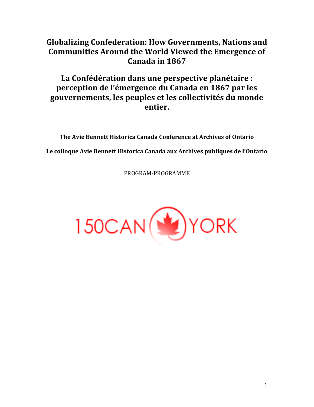# **Globalizing Confederation: How Governments, Nations and Communities Around the World Viewed the Emergence of Canada in 1867**

# **La Confédération dans une perspective planétaire : perception de l'émergence du Canada en 1867 par les gouvernements, les peuples et les collectivités du monde entier.**

**The Avie Bennett Historica Canada Conference at Archives of Ontario Le colloque Avie Bennett Historica Canada aux Archives publiques de l'Ontario**

PROGRAMPROGRAMME

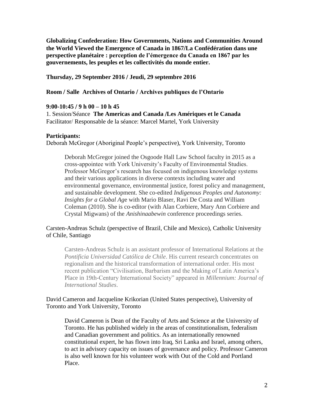**Globalizing Confederation: How Governments, Nations and Communities Around the World Viewed the Emergence of Canada in 1867La Confédération dans une perspective planétaire : perception de l'émergence du Canada en 1867 par les gouvernements, les peuples et les collectivités du monde entier.**

# **Thursday, 29 September 2016 Jeudi, 29 septembre 2016**

# **Room Salle Archives of Ontario Archives publiques de l'Ontario**

## **9:00-10:45 9 h 00 – 10 h 45**

1. Session/Séance The Americas and Canada */Les Amériques et le Canada* Facilitator/ Responsable de la séance: Marcel Martel, York University

## **Participants:**

Deborah McGregor (Aboriginal People's perspective), York University, Toronto

Deborah McGregor joined the Osgoode Hall Law School faculty in 2015 as a cross-appointee with York University's Faculty of Environmental Studies. Professor McGregor's research has focused on indigenous knowledge systems and their various applications in diverse contexts including water and environmental governance, environmental justice, forest policy and management, and sustainable development. She co-edited *Indigenous Peoples and Autonomy: Insights for a Global Ag*e with Mario Blaser, Ravi De Costa and William Coleman (2010). She is co-editor (with Alan Corbiere, Mary Ann Corbiere and Crystal Migwans) of the *Anishinaabewin* conference proceedings series.

# Carsten-Andreas Schulz (perspective of Brazil, Chile and Mexico), Catholic University of Chile, Santiago

Carsten-Andreas Schulz is an assistant professor of International Relations at the *Pontificia Universidad Católica de Chile*. His current research concentrates on regionalism and the historical transformation of international order. His most recent publication "Civilisation, Barbarism and the Making of Latin America's Place in 19th-Century International Society" appeared in *Millennium: Journal of International Studies*.

David Cameron and Jacqueline Krikorian (United States perspective), University of Toronto and York University, Toronto

David Cameron is Dean of the Faculty of Arts and Science at the University of Toronto. He has published widely in the areas of constitutionalism, federalism and Canadian government and politics. As an internationally renowned constitutional expert, he has flown into Iraq, Sri Lanka and Israel, among others, to act in advisory capacity on issues of governance and policy. Professor Cameron is also well known for his volunteer work with Out of the Cold and Portland Place.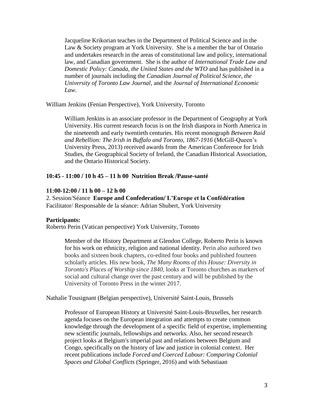Jacqueline Krikorian teaches in the Department of Political Science and in the Law & Society program at York University. She is a member the bar of Ontario and undertakes research in the areas of constitutional law and policy, international law, and Canadian government. She is the author of *International Trade Law and Domestic Policy: Canada, the United States and the WTO* and has published in a number of journals including the *Canadian Journal of Political Science*, *the University of Toronto Law Journal*, and the *Journal of International Economic Law.* 

William Jenkins (Fenian Perspective), York University, Toronto

William Jenkins is an associate professor in the Department of Geography at York University. His current research focus is on the Irish diaspora in North America in the nineteenth and early twentieth centuries. His recent monograph *Between Raid and Rebellion: The Irish in Buffalo and Toronto, 1867-1916* (McGill-Queen's University Press, 2013) received awards from the American Conference for Irish Studies, the Geographical Society of Ireland, the Canadian Historical Association, and the Ontario Historical Society.

# **10:45 - 11:00 10 h 45 – 11 h 00 Nutrition Break Pause-santé**

## **11:00-12:00 11 h 00 – 12 h 00**

2. Session/Séance **Europe and Confederation/L'Europe et la Confédération** Facilitator/ Responsable de la séance: Adrian Shubert, York University

## **Participants:**

Roberto Perin (Vatican perspective) York University, Toronto

Member of the History Department at Glendon College, Roberto Perin is known for his work on ethnicity, religion and national identity. Perin also authored two books and sixteen book chapters, co-edited four books and published fourteen scholarly articles. His new book, *The Many Rooms of this House: Diversity in Toronto's Places of Worship since 1840,* looks at Toronto churches as markers of social and cultural change over the past century and will be published by the University of Toronto Press in the winter 2017.

Nathalie Tousignant (Belgian perspective), Université Saint-Louis, Brussels

Professor of European History at Université Saint-Louis-Bruxelles, her research agenda focuses on the European integration and attempts to create common knowledge through the development of a specific field of expertise, implementing new scientific journals, fellowships and networks. Also, her second research project looks at Belgium's imperial past and relations between Belgium and Congo, specifically on the history of law and justice in colonial context. Her recent publications include *Forced and Coerced Labour: Comparing Colonial Spaces and Global Conflicts* (Springer, 2016) and with Sebastiaan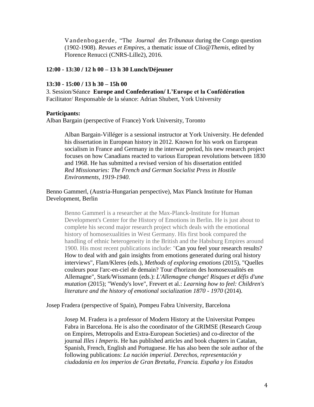Vandenbogaerde, "The *Journal des Tribunaux* during the Congo question (1902-1908). *Revues et Empires,* a thematic issue of *Clio@Themis*, edited by Florence Renucci (CNRS-Lille2), 2016.

# **12:00 - 13:30 12 h 00 – 13 h 30 LunchDéjeuner**

#### **13:30 - 15:00 13 h 30 – 15h 00**

3. Session/Séance **Europe and Confederation/L'Europe et la Confédération** Facilitator/ Responsable de la séance: Adrian Shubert, York University

## **Participants:**

Alban Bargain (perspective of France) York University, Toronto

Alban Bargain-Villéger is a sessional instructor at York University. He defended his dissertation in European history in 2012. Known for his work on European socialism in France and Germany in the interwar period, his new research project focuses on how Canadians reacted to various European revolutions between 1830 and 1968. He has submitted a revised version of his dissertation entitled *Red Missionaries: The French and German Socialist Press in Hostile Environments, 1919-1940*.

# Benno Gammerl, (Austria-Hungarian perspective), Max Planck Institute for Human Development, Berlin

Benno Gammerl is a researcher at the Max-Planck-Institute for Human Development's Center for the History of Emotions in Berlin. He is just about to complete his second major research project which deals with the emotional history of homosexualities in West Germany. His first book compared the handling of ethnic heterogeneity in the British and the Habsburg Empires around 1900. His most recent publications include: "Can you feel your research results? How to deal with and gain insights from emotions generated during oral history interviews", Flam/Kleres (eds.), *Methods of exploring emotions* (2015), "Quelles couleurs pour l'arc-en-ciel de demain? Tour d'horizon des homosexualités en Allemagne", Stark/Wissmann (eds.): *L'Allemagne change! Risques et défis d'une mutation* (2015); "Wendy's love", Frevert et al.: *Learning how to feel: Children's literature and the history of emotional socialization 1870 - 1970* (2014).

Josep Fradera (perspective of Spain), Pompeu Fabra University, Barcelona

Josep M. Fradera is a professor of Modern History at the Universitat Pompeu Fabra in Barcelona. He is also the coordinator of the GRIMSE (Research Group on Empires, Metropolis and Extra-European Societies) and co-director of the journal *Illes i Imperis*. He has published articles and book chapters in Catalan, Spanish, French, English and Portuguese. He has also been the sole author of the following publications: *La nación imperial. Derechos, representación y ciudadanía en los imperios de Gran Bretaña, Francia. España y los Estados*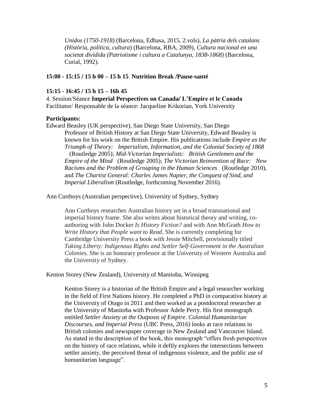*Unidos (1750-1918)* (Barcelona, Edhasa, 2015, 2.vols), *La pàtria dels catalans (Història, política, cultura*) (Barcelona, RBA, 2009), *Cultura nacional en una societat dividida (Patriotisme i cultura a Catalunya, 1838-1868)* (Barcelona, Curial, 1992).

## **15:00 - 15:15 15 h 00 – 15 h 15 Nutrition Break Pause-santé**

#### **15:15 - 16:45 15 h 15 – 16h 45**

4. SessionSéance **Imperial Perspectives on Canada L'Empire et le Canada** Facilitator/ Responsable de la séance: Jacqueline Krikorian, York University

#### **Participants:**

Edward Beasley (UK perspective), San Diego State University, San Diego Professor of British History at San Diego State University, Edward Beasley is known for his work on the British Empire. His publications include *Empire as the Triumph of Theory: Imperialism, Information, and the Colonial Society of 1868*  (Routledge 2005); *Mid-Victorian Imperialists: British Gentlemen and the Empire of the Mind* (Routledge 2005); *The Victorian Reinvention of Race: New Racisms and the Problem of Grouping in the Human Sciences* (Routledge 2010), and *The Chartist General: Charles James Napier, the Conquest of Sind, and Imperial Liberalism* (Routledge, forthcoming November 2016).

Ann Curthoys (Australian perspective), University of Sydney, Sydney

Ann Curthoys researches Australian history set in a broad transnational and imperial history frame. She also writes about historical theory and writing, coauthoring with John Docker *Is History Fiction?* and with Ann McGrath *How to Write History that People want to Read*. She is currently completing for Cambridge University Press a book with Jessie Mitchell, provisionally titled *Taking Liberty: Indigenous Rights and Settler Self-Government in the Australian Colonies.* She is an honorary professor at the University of Western Australia and the University of Sydney.

Kenton Storey (New Zealand), University of Manitoba, Winnipeg

Kenton Storey is a historian of the British Empire and a legal researcher working in the field of First Nations history. He completed a PhD in comparative history at the University of Otago in 2011 and then worked as a postdoctoral researcher at the University of Manitoba with Professor Adele Perry. His first monograph entitled *Settler Anxiety at the Outposts of Empire. Colonial Humanitarian Discourses, and Imperial Press* (UBC Press, 2016) looks at race relations in British colonies and newspaper coverage in New Zealand and Vancouver Island. As stated in the description of the book, this monograph "offers fresh perspectives on the history of race relations, while it deftly explores the intersections between settler anxiety, the perceived threat of indigenous violence, and the public use of humanitarian language".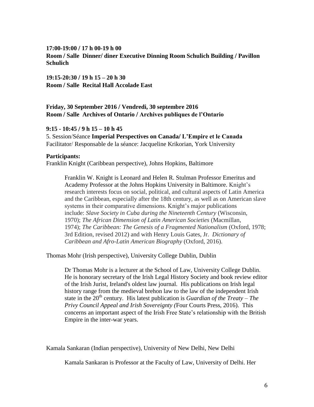#### **17:00-19:00 17 h 00-19 h 00**

**Room Salle Dinner diner Executive Dinning Room Schulich Building Pavillon Schulich**

**19:15-20:30 19 h 15 – 20 h 30 Room Salle Recital Hall Accolade East**

# **Friday, 30 September 2016 Vendredi, 30 septembre 2016 Room Salle Archives of Ontario Archives publiques de l'Ontario**

## **9:15 - 10:45 9 h 15 – 10 h 45**

5. SessionSéance **Imperial Perspectives on Canada L'Empire et le Canada** Facilitator/ Responsable de la séance: Jacqueline Krikorian, York University

## **Participants:**

Franklin Knight (Caribbean perspective), Johns Hopkins, Baltimore

Franklin W. Knight is Leonard and Helen R. Stulman Professor Emeritus and Academy Professor at the Johns Hopkins University in Baltimore. Knight's research interests focus on social, political, and cultural aspects of Latin America and the Caribbean, especially after the 18th century, as well as on American slave systems in their comparative dimensions. Knight's major publications include: *Slave Society in Cuba during the Nineteenth Century* (Wisconsin, 1970); *The African Dimension of Latin American Societies* (Macmillan, 1974); *The Caribbean: The Genesis of a Fragmented Nationalism* (Oxford, 1978; 3rd Edition, revised 2012) and with Henry Louis Gates, Jr. *Dictionary of Caribbean and Afro-Latin American Biography* (Oxford, 2016).

Thomas Mohr (Irish perspective), University College Dublin, Dublin

Dr Thomas Mohr is a lecturer at the School of Law, University College Dublin. He is honorary secretary of the Irish Legal History Society and book review editor of the Irish Jurist, Ireland's oldest law journal. His publications on Irish legal history range from the medieval brehon law to the law of the independent Irish state in the  $20<sup>th</sup>$  century. His latest publication is *Guardian of the Treaty – The Privy Council Appeal and Irish Sovereignty (*Four Courts Press, 2016). This concerns an important aspect of the Irish Free State's relationship with the British Empire in the inter-war years.

Kamala Sankaran (Indian perspective), University of New Delhi, New Delhi

Kamala Sankaran is Professor at the Faculty of Law, University of Delhi. Her